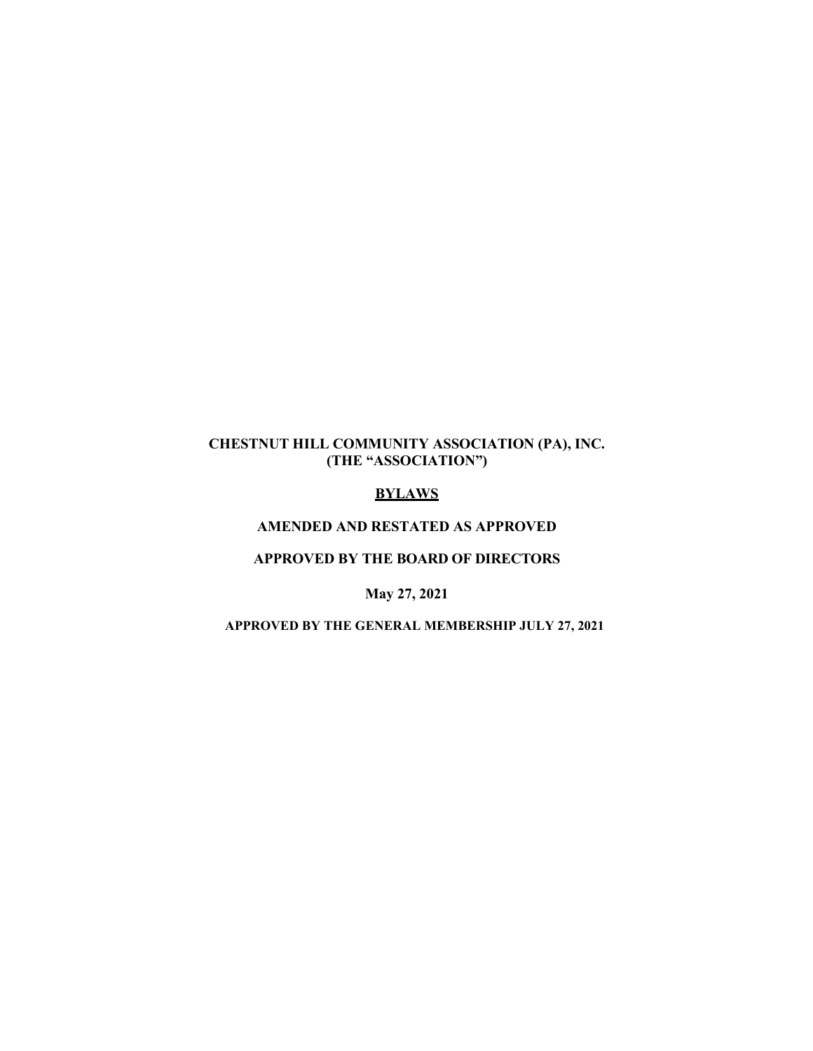# **CHESTNUT HILL COMMUNITY ASSOCIATION (PA), INC. (THE "ASSOCIATION")**

# **BYLAWS**

## **AMENDED AND RESTATED AS APPROVED**

## **APPROVED BY THE BOARD OF DIRECTORS**

# **May 27, 2021**

#### **APPROVED BY THE GENERAL MEMBERSHIP JULY 27, 2021**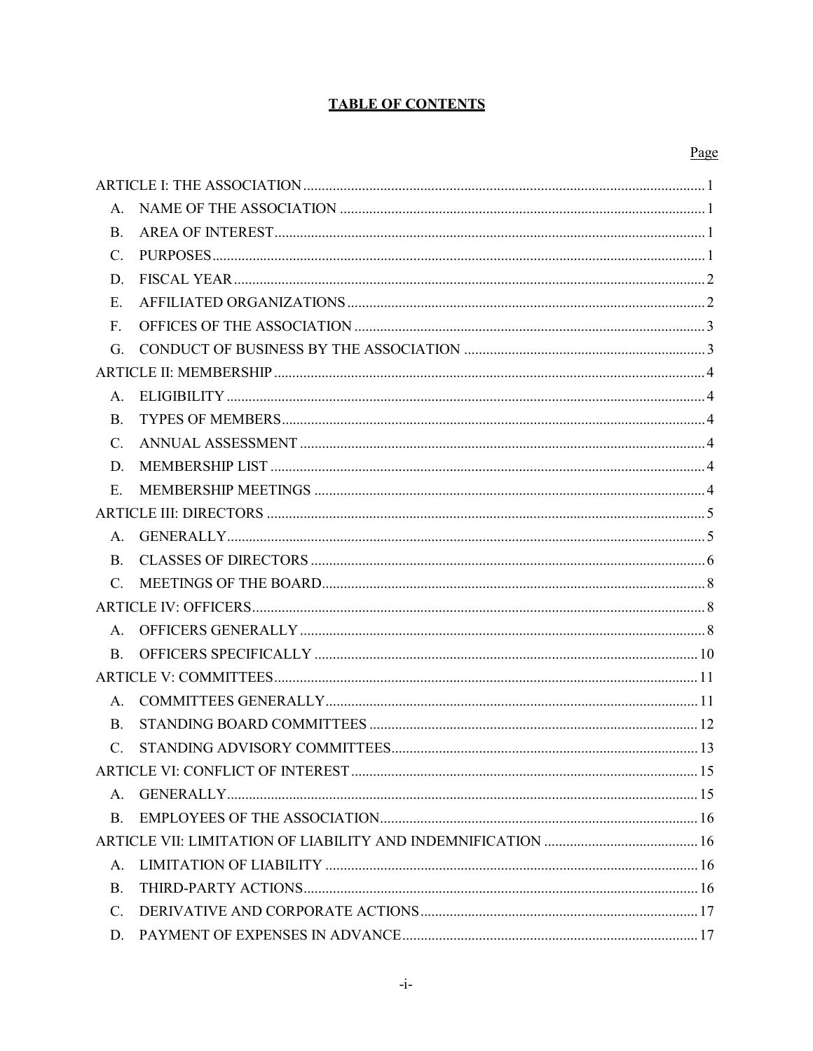# **TABLE OF CONTENTS**

### Page

| А.              |  |  |  |  |
|-----------------|--|--|--|--|
| <b>B.</b>       |  |  |  |  |
| C.              |  |  |  |  |
| D.              |  |  |  |  |
| Ε.              |  |  |  |  |
| F.              |  |  |  |  |
| G.              |  |  |  |  |
|                 |  |  |  |  |
| A.              |  |  |  |  |
| <b>B.</b>       |  |  |  |  |
| C.              |  |  |  |  |
| D.              |  |  |  |  |
| Ε.              |  |  |  |  |
|                 |  |  |  |  |
| A.              |  |  |  |  |
| B.              |  |  |  |  |
| $C_{\cdot}$     |  |  |  |  |
|                 |  |  |  |  |
| Α.              |  |  |  |  |
| B.              |  |  |  |  |
|                 |  |  |  |  |
| А.              |  |  |  |  |
| B.              |  |  |  |  |
| $\mathcal{C}$ . |  |  |  |  |
|                 |  |  |  |  |
| Α.              |  |  |  |  |
| B.              |  |  |  |  |
|                 |  |  |  |  |
| Α.              |  |  |  |  |
| <b>B.</b>       |  |  |  |  |
| $C_{\cdot}$     |  |  |  |  |
| D.              |  |  |  |  |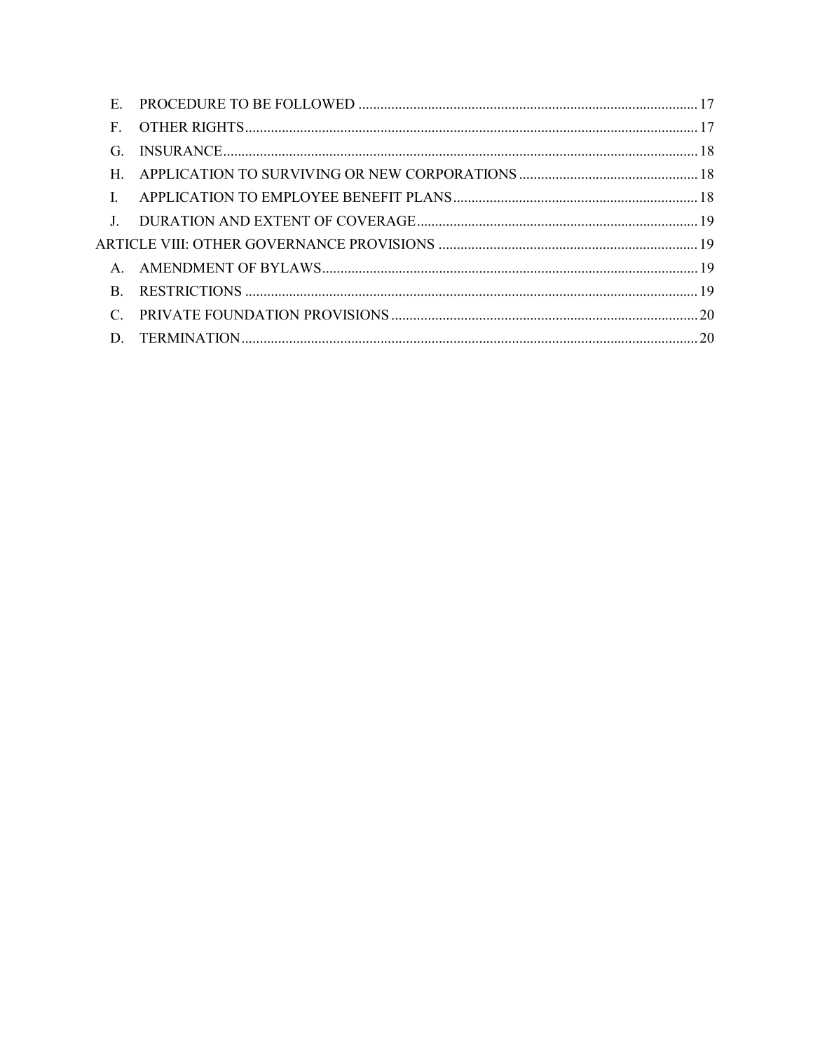| E.           |  |
|--------------|--|
| $\mathbf{F}$ |  |
| G.           |  |
| $H_{-}$      |  |
|              |  |
|              |  |
|              |  |
|              |  |
| $\mathbf{B}$ |  |
|              |  |
|              |  |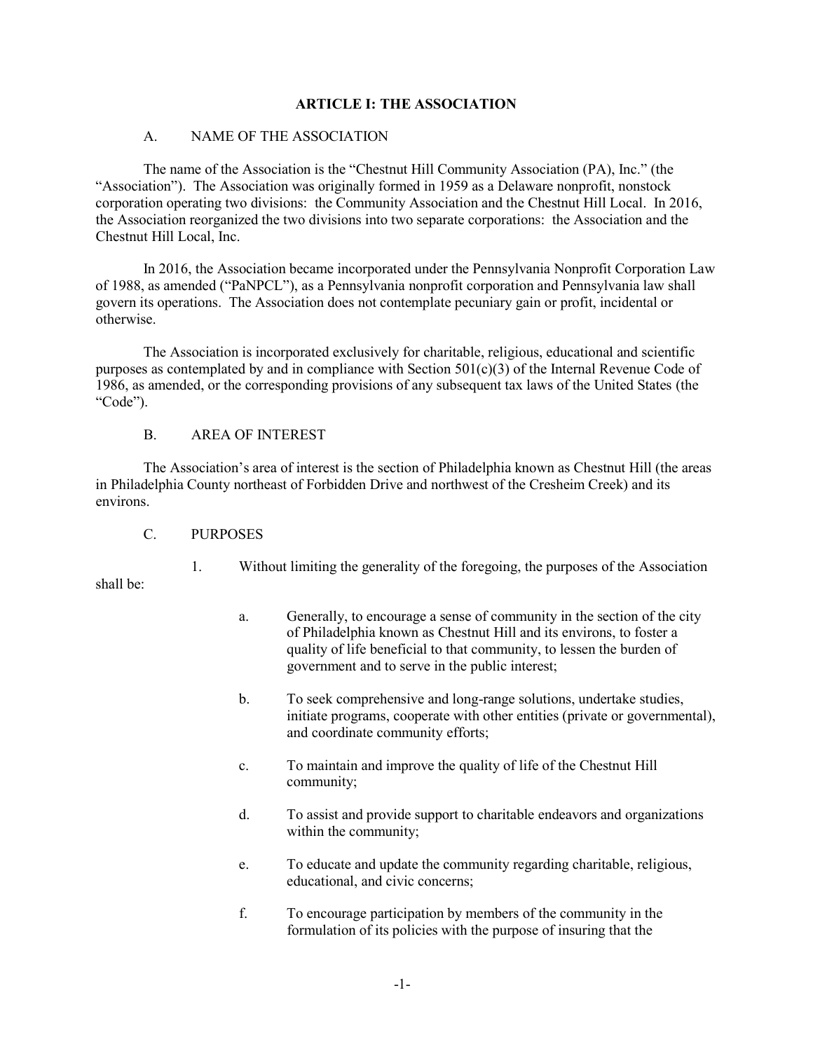#### **ARTICLE I: THE ASSOCIATION**

#### A. NAME OF THE ASSOCIATION

The name of the Association is the "Chestnut Hill Community Association (PA), Inc." (the "Association"). The Association was originally formed in 1959 as a Delaware nonprofit, nonstock corporation operating two divisions: the Community Association and the Chestnut Hill Local. In 2016, the Association reorganized the two divisions into two separate corporations: the Association and the Chestnut Hill Local, Inc.

In 2016, the Association became incorporated under the Pennsylvania Nonprofit Corporation Law of 1988, as amended ("PaNPCL"), as a Pennsylvania nonprofit corporation and Pennsylvania law shall govern its operations. The Association does not contemplate pecuniary gain or profit, incidental or otherwise.

The Association is incorporated exclusively for charitable, religious, educational and scientific purposes as contemplated by and in compliance with Section  $501(c)(3)$  of the Internal Revenue Code of 1986, as amended, or the corresponding provisions of any subsequent tax laws of the United States (the "Code").

#### B. AREA OF INTEREST

The Association's area of interest is the section of Philadelphia known as Chestnut Hill (the areas in Philadelphia County northeast of Forbidden Drive and northwest of the Cresheim Creek) and its environs.

C. PURPOSES

shall be:

1. Without limiting the generality of the foregoing, the purposes of the Association

- a. Generally, to encourage a sense of community in the section of the city of Philadelphia known as Chestnut Hill and its environs, to foster a quality of life beneficial to that community, to lessen the burden of government and to serve in the public interest;
- b. To seek comprehensive and long-range solutions, undertake studies, initiate programs, cooperate with other entities (private or governmental), and coordinate community efforts;
- c. To maintain and improve the quality of life of the Chestnut Hill community;
- d. To assist and provide support to charitable endeavors and organizations within the community;
- e. To educate and update the community regarding charitable, religious, educational, and civic concerns;
- f. To encourage participation by members of the community in the formulation of its policies with the purpose of insuring that the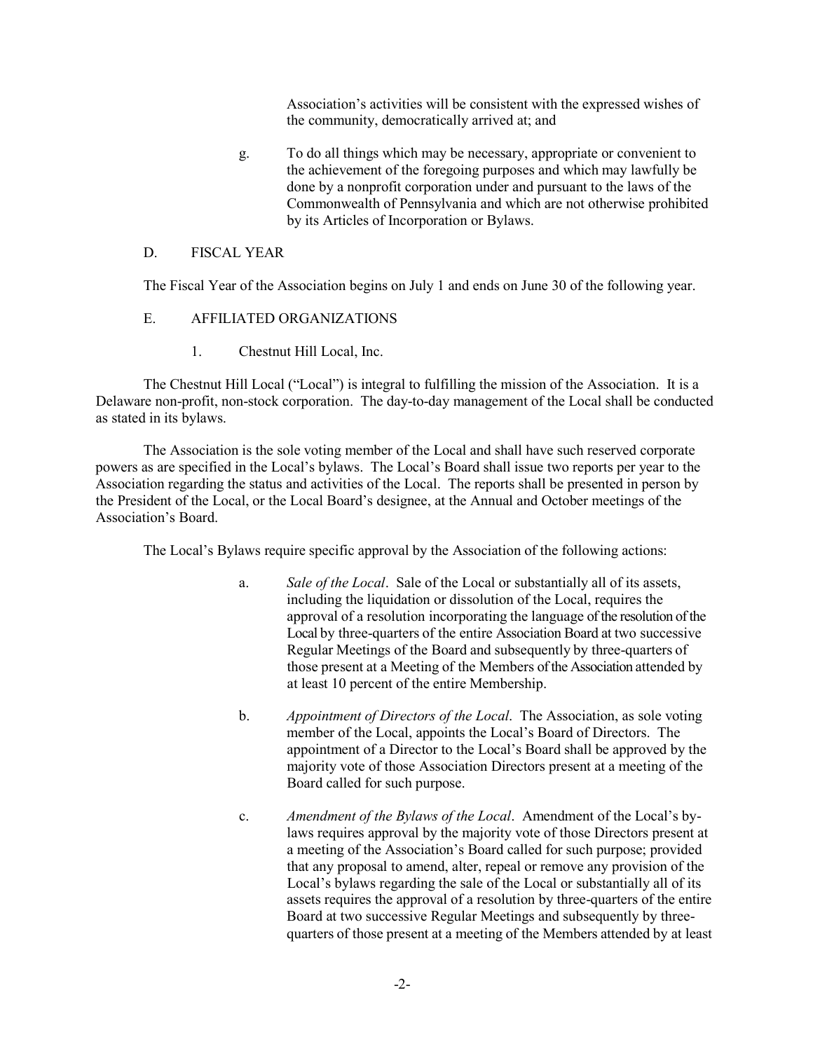Association's activities will be consistent with the expressed wishes of the community, democratically arrived at; and

g. To do all things which may be necessary, appropriate or convenient to the achievement of the foregoing purposes and which may lawfully be done by a nonprofit corporation under and pursuant to the laws of the Commonwealth of Pennsylvania and which are not otherwise prohibited by its Articles of Incorporation or Bylaws.

#### D. FISCAL YEAR

The Fiscal Year of the Association begins on July 1 and ends on June 30 of the following year.

#### E. AFFILIATED ORGANIZATIONS

1. Chestnut Hill Local, Inc.

The Chestnut Hill Local ("Local") is integral to fulfilling the mission of the Association. It is a Delaware non-profit, non-stock corporation. The day-to-day management of the Local shall be conducted as stated in its bylaws.

The Association is the sole voting member of the Local and shall have such reserved corporate powers as are specified in the Local's bylaws. The Local's Board shall issue two reports per year to the Association regarding the status and activities of the Local. The reports shall be presented in person by the President of the Local, or the Local Board's designee, at the Annual and October meetings of the Association's Board.

The Local's Bylaws require specific approval by the Association of the following actions:

- a. *Sale of the Local*. Sale of the Local or substantially all of its assets, including the liquidation or dissolution of the Local, requires the approval of a resolution incorporating the language of the resolution of the Local by three-quarters of the entire Association Board at two successive Regular Meetings of the Board and subsequently by three-quarters of those present at a Meeting of the Members of the Association attended by at least 10 percent of the entire Membership.
- b. *Appointment of Directors of the Local*. The Association, as sole voting member of the Local, appoints the Local's Board of Directors. The appointment of a Director to the Local's Board shall be approved by the majority vote of those Association Directors present at a meeting of the Board called for such purpose.
- c. *Amendment of the Bylaws of the Local*. Amendment of the Local's bylaws requires approval by the majority vote of those Directors present at a meeting of the Association's Board called for such purpose; provided that any proposal to amend, alter, repeal or remove any provision of the Local's bylaws regarding the sale of the Local or substantially all of its assets requires the approval of a resolution by three-quarters of the entire Board at two successive Regular Meetings and subsequently by threequarters of those present at a meeting of the Members attended by at least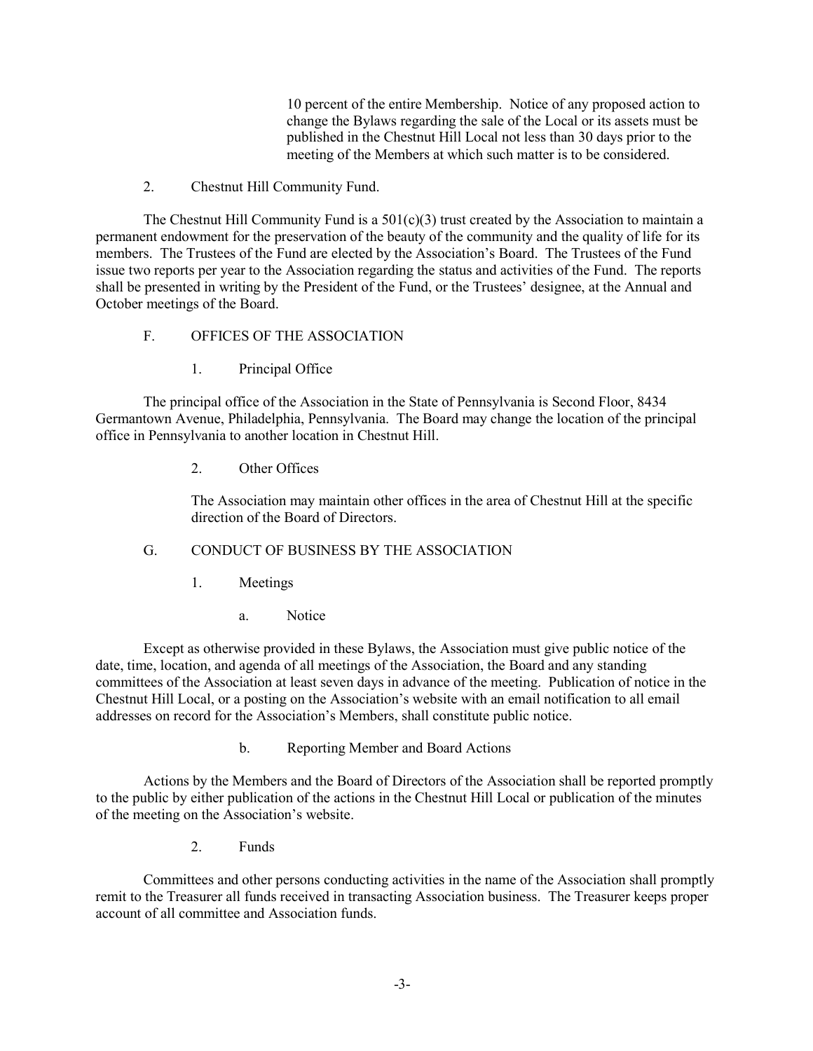10 percent of the entire Membership. Notice of any proposed action to change the Bylaws regarding the sale of the Local or its assets must be published in the Chestnut Hill Local not less than 30 days prior to the meeting of the Members at which such matter is to be considered.

2. Chestnut Hill Community Fund.

The Chestnut Hill Community Fund is a  $501(c)(3)$  trust created by the Association to maintain a permanent endowment for the preservation of the beauty of the community and the quality of life for its members. The Trustees of the Fund are elected by the Association's Board. The Trustees of the Fund issue two reports per year to the Association regarding the status and activities of the Fund. The reports shall be presented in writing by the President of the Fund, or the Trustees' designee, at the Annual and October meetings of the Board.

### F. OFFICES OF THE ASSOCIATION

1. Principal Office

The principal office of the Association in the State of Pennsylvania is Second Floor, 8434 Germantown Avenue, Philadelphia, Pennsylvania. The Board may change the location of the principal office in Pennsylvania to another location in Chestnut Hill.

2. Other Offices

The Association may maintain other offices in the area of Chestnut Hill at the specific direction of the Board of Directors.

# G. CONDUCT OF BUSINESS BY THE ASSOCIATION

- 1. Meetings
	- a. Notice

Except as otherwise provided in these Bylaws, the Association must give public notice of the date, time, location, and agenda of all meetings of the Association, the Board and any standing committees of the Association at least seven days in advance of the meeting. Publication of notice in the Chestnut Hill Local, or a posting on the Association's website with an email notification to all email addresses on record for the Association's Members, shall constitute public notice.

b. Reporting Member and Board Actions

Actions by the Members and the Board of Directors of the Association shall be reported promptly to the public by either publication of the actions in the Chestnut Hill Local or publication of the minutes of the meeting on the Association's website.

2. Funds

Committees and other persons conducting activities in the name of the Association shall promptly remit to the Treasurer all funds received in transacting Association business. The Treasurer keeps proper account of all committee and Association funds.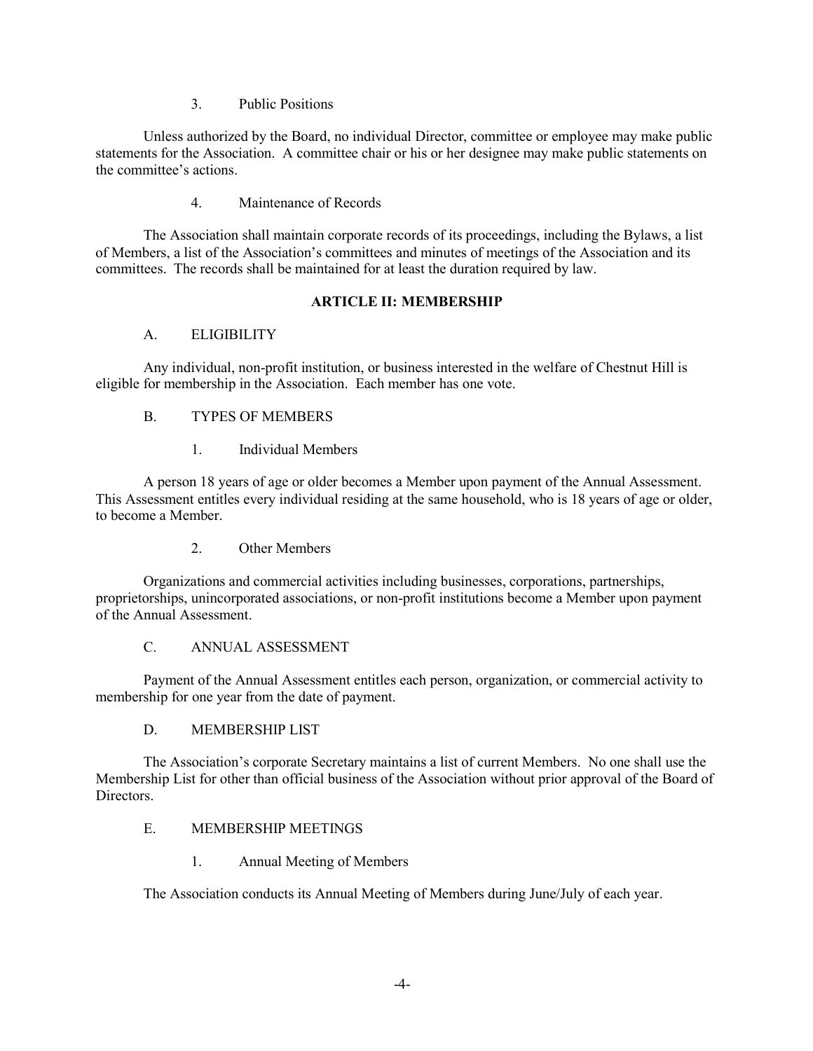3. Public Positions

Unless authorized by the Board, no individual Director, committee or employee may make public statements for the Association. A committee chair or his or her designee may make public statements on the committee's actions.

### 4. Maintenance of Records

The Association shall maintain corporate records of its proceedings, including the Bylaws, a list of Members, a list of the Association's committees and minutes of meetings of the Association and its committees. The records shall be maintained for at least the duration required by law.

### **ARTICLE II: MEMBERSHIP**

### A. ELIGIBILITY

Any individual, non-profit institution, or business interested in the welfare of Chestnut Hill is eligible for membership in the Association. Each member has one vote.

### B. TYPES OF MEMBERS

1. Individual Members

A person 18 years of age or older becomes a Member upon payment of the Annual Assessment. This Assessment entitles every individual residing at the same household, who is 18 years of age or older, to become a Member.

2. Other Members

Organizations and commercial activities including businesses, corporations, partnerships, proprietorships, unincorporated associations, or non-profit institutions become a Member upon payment of the Annual Assessment.

# C. ANNUAL ASSESSMENT

Payment of the Annual Assessment entitles each person, organization, or commercial activity to membership for one year from the date of payment.

### D. MEMBERSHIP LIST

The Association's corporate Secretary maintains a list of current Members. No one shall use the Membership List for other than official business of the Association without prior approval of the Board of Directors.

### E. MEMBERSHIP MEETINGS

1. Annual Meeting of Members

The Association conducts its Annual Meeting of Members during June/July of each year.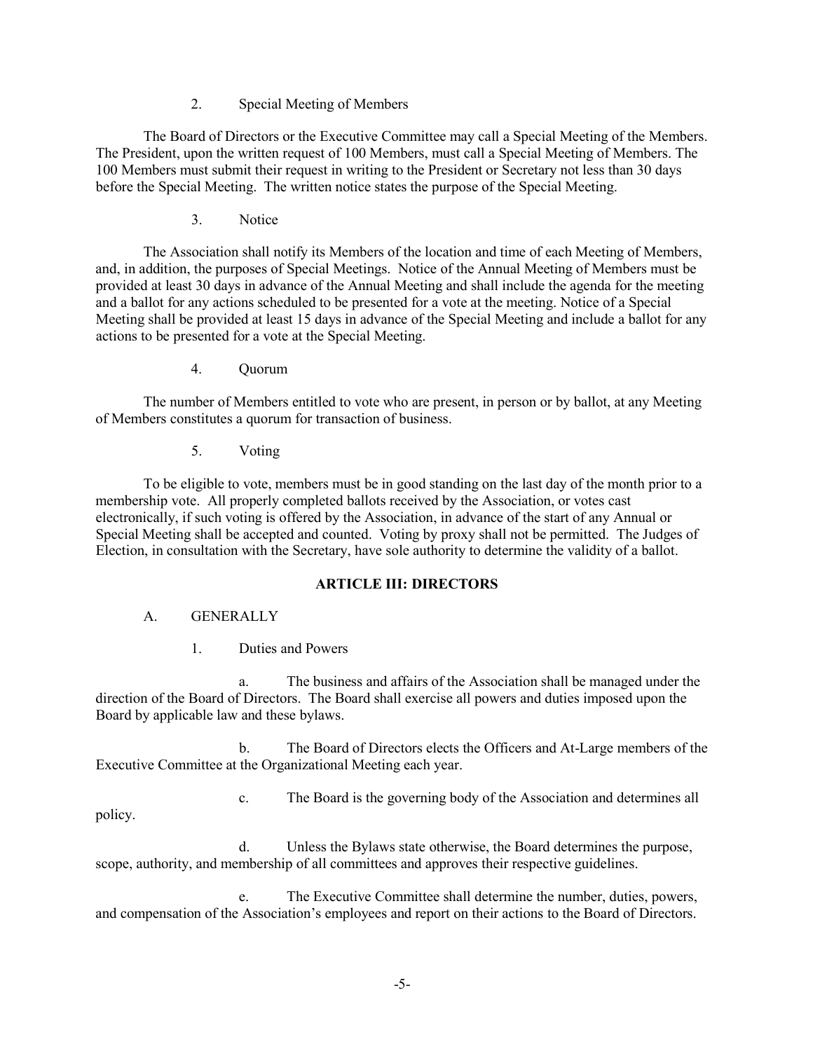2. Special Meeting of Members

The Board of Directors or the Executive Committee may call a Special Meeting of the Members. The President, upon the written request of 100 Members, must call a Special Meeting of Members. The 100 Members must submit their request in writing to the President or Secretary not less than 30 days before the Special Meeting. The written notice states the purpose of the Special Meeting.

3. Notice

The Association shall notify its Members of the location and time of each Meeting of Members, and, in addition, the purposes of Special Meetings. Notice of the Annual Meeting of Members must be provided at least 30 days in advance of the Annual Meeting and shall include the agenda for the meeting and a ballot for any actions scheduled to be presented for a vote at the meeting. Notice of a Special Meeting shall be provided at least 15 days in advance of the Special Meeting and include a ballot for any actions to be presented for a vote at the Special Meeting.

4. Quorum

The number of Members entitled to vote who are present, in person or by ballot, at any Meeting of Members constitutes a quorum for transaction of business.

5. Voting

To be eligible to vote, members must be in good standing on the last day of the month prior to a membership vote. All properly completed ballots received by the Association, or votes cast electronically, if such voting is offered by the Association, in advance of the start of any Annual or Special Meeting shall be accepted and counted. Voting by proxy shall not be permitted. The Judges of Election, in consultation with the Secretary, have sole authority to determine the validity of a ballot.

### **ARTICLE III: DIRECTORS**

### A. GENERALLY

1. Duties and Powers

a. The business and affairs of the Association shall be managed under the direction of the Board of Directors. The Board shall exercise all powers and duties imposed upon the Board by applicable law and these bylaws.

b. The Board of Directors elects the Officers and At-Large members of the Executive Committee at the Organizational Meeting each year.

c. The Board is the governing body of the Association and determines all

policy.

d. Unless the Bylaws state otherwise, the Board determines the purpose, scope, authority, and membership of all committees and approves their respective guidelines.

e. The Executive Committee shall determine the number, duties, powers, and compensation of the Association's employees and report on their actions to the Board of Directors.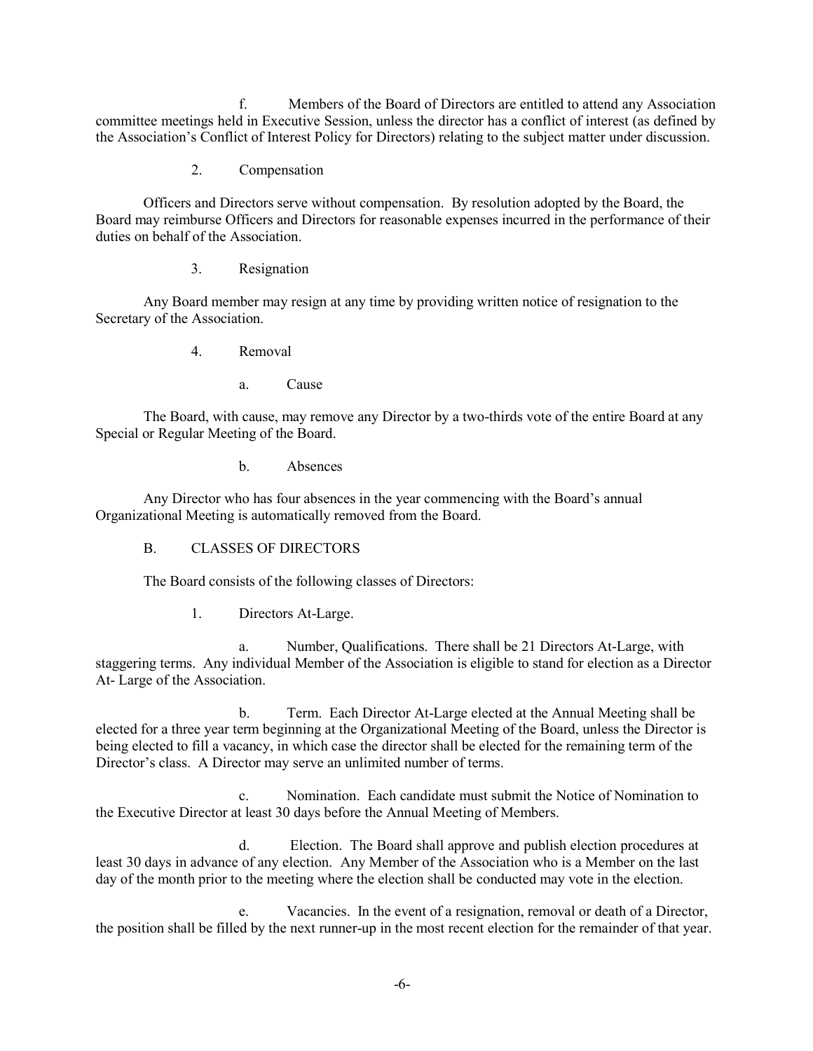f. Members of the Board of Directors are entitled to attend any Association committee meetings held in Executive Session, unless the director has a conflict of interest (as defined by the Association's Conflict of Interest Policy for Directors) relating to the subject matter under discussion.

2. Compensation

Officers and Directors serve without compensation. By resolution adopted by the Board, the Board may reimburse Officers and Directors for reasonable expenses incurred in the performance of their duties on behalf of the Association.

3. Resignation

Any Board member may resign at any time by providing written notice of resignation to the Secretary of the Association.

- 4. Removal
	- a. Cause

The Board, with cause, may remove any Director by a two-thirds vote of the entire Board at any Special or Regular Meeting of the Board.

b. Absences

Any Director who has four absences in the year commencing with the Board's annual Organizational Meeting is automatically removed from the Board.

B. CLASSES OF DIRECTORS

The Board consists of the following classes of Directors:

1. Directors At-Large.

a. Number, Qualifications. There shall be 21 Directors At-Large, with staggering terms. Any individual Member of the Association is eligible to stand for election as a Director At- Large of the Association.

b. Term. Each Director At-Large elected at the Annual Meeting shall be elected for a three year term beginning at the Organizational Meeting of the Board, unless the Director is being elected to fill a vacancy, in which case the director shall be elected for the remaining term of the Director's class. A Director may serve an unlimited number of terms.

c. Nomination. Each candidate must submit the Notice of Nomination to the Executive Director at least 30 days before the Annual Meeting of Members.

d. Election. The Board shall approve and publish election procedures at least 30 days in advance of any election. Any Member of the Association who is a Member on the last day of the month prior to the meeting where the election shall be conducted may vote in the election.

e. Vacancies. In the event of a resignation, removal or death of a Director, the position shall be filled by the next runner-up in the most recent election for the remainder of that year.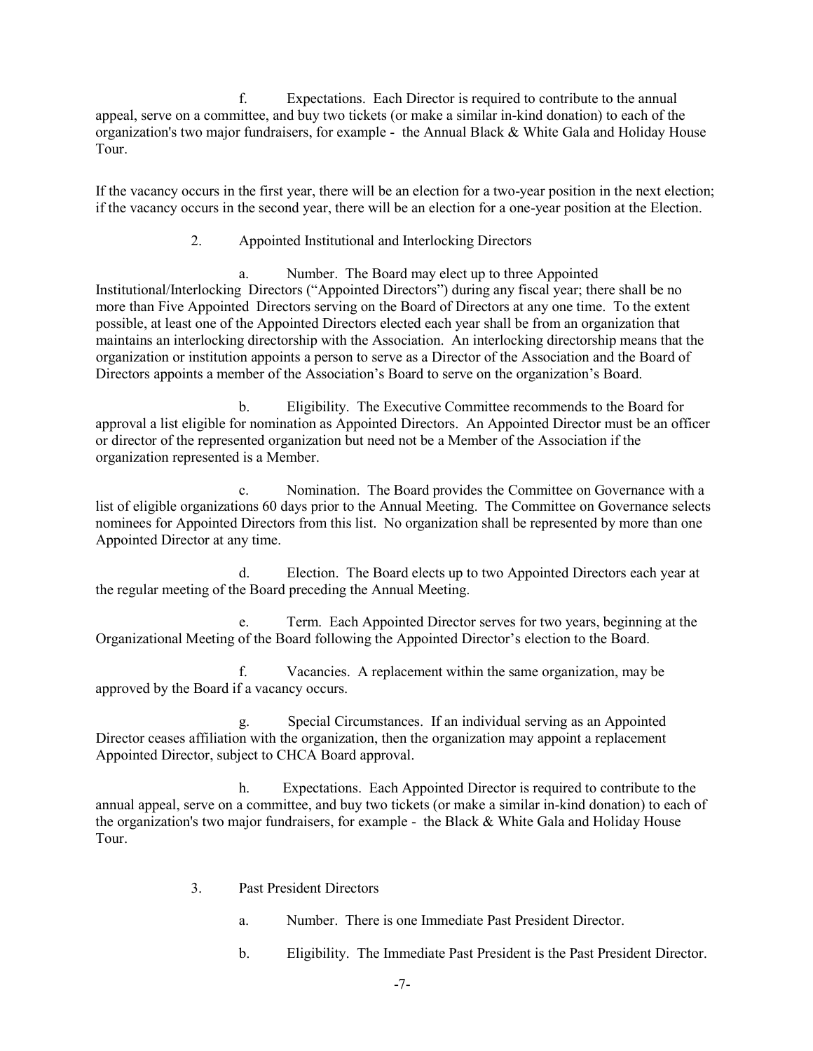f. Expectations. Each Director is required to contribute to the annual appeal, serve on a committee, and buy two tickets (or make a similar in-kind donation) to each of the organization's two major fundraisers, for example - the Annual Black & White Gala and Holiday House Tour.

If the vacancy occurs in the first year, there will be an election for a two-year position in the next election; if the vacancy occurs in the second year, there will be an election for a one-year position at the Election.

2. Appointed Institutional and Interlocking Directors

a. Number. The Board may elect up to three Appointed Institutional/Interlocking Directors ("Appointed Directors") during any fiscal year; there shall be no more than Five Appointed Directors serving on the Board of Directors at any one time. To the extent possible, at least one of the Appointed Directors elected each year shall be from an organization that maintains an interlocking directorship with the Association. An interlocking directorship means that the organization or institution appoints a person to serve as a Director of the Association and the Board of Directors appoints a member of the Association's Board to serve on the organization's Board.

b. Eligibility. The Executive Committee recommends to the Board for approval a list eligible for nomination as Appointed Directors. An Appointed Director must be an officer or director of the represented organization but need not be a Member of the Association if the organization represented is a Member.

c. Nomination. The Board provides the Committee on Governance with a list of eligible organizations 60 days prior to the Annual Meeting. The Committee on Governance selects nominees for Appointed Directors from this list. No organization shall be represented by more than one Appointed Director at any time.

d. Election. The Board elects up to two Appointed Directors each year at the regular meeting of the Board preceding the Annual Meeting.

e. Term. Each Appointed Director serves for two years, beginning at the Organizational Meeting of the Board following the Appointed Director's election to the Board.

f. Vacancies. A replacement within the same organization, may be approved by the Board if a vacancy occurs.

g. Special Circumstances. If an individual serving as an Appointed Director ceases affiliation with the organization, then the organization may appoint a replacement Appointed Director, subject to CHCA Board approval.

h. Expectations. Each Appointed Director is required to contribute to the annual appeal, serve on a committee, and buy two tickets (or make a similar in-kind donation) to each of the organization's two major fundraisers, for example - the Black & White Gala and Holiday House Tour.

- 3. Past President Directors
	- a. Number. There is one Immediate Past President Director.
	- b. Eligibility. The Immediate Past President is the Past President Director.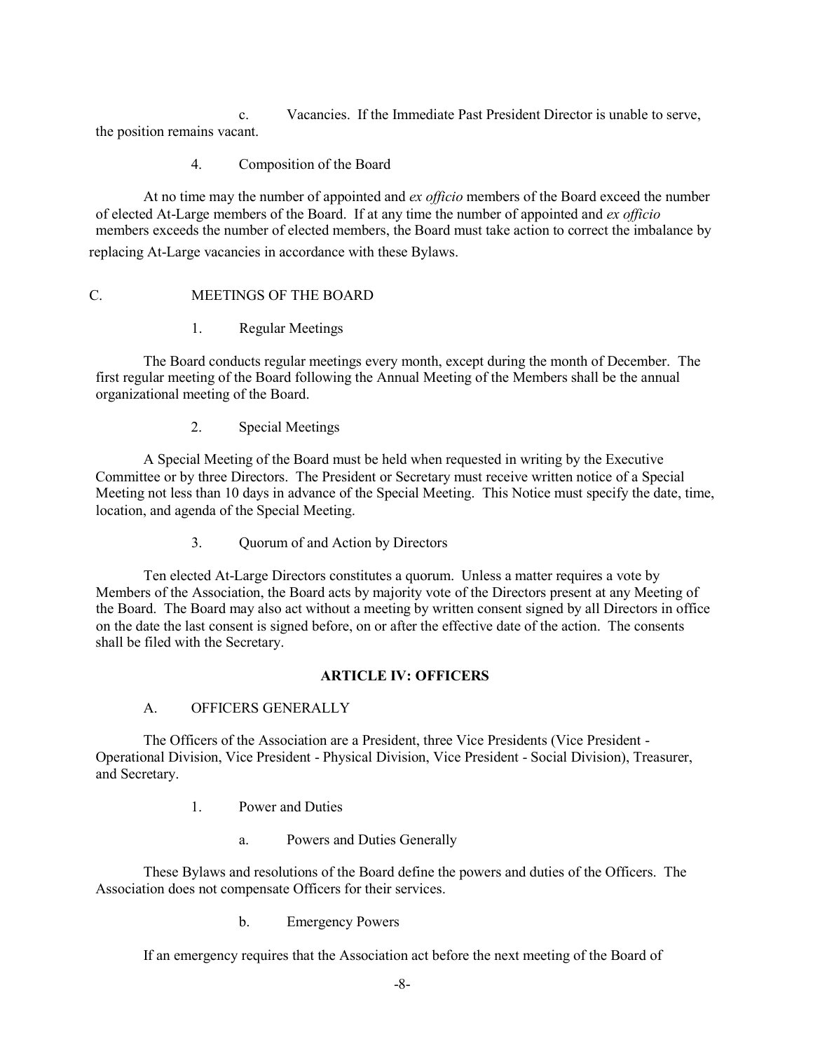c. Vacancies. If the Immediate Past President Director is unable to serve, the position remains vacant.

#### 4. Composition of the Board

At no time may the number of appointed and *ex officio* members of the Board exceed the number of elected At-Large members of the Board. If at any time the number of appointed and *ex officio* members exceeds the number of elected members, the Board must take action to correct the imbalance by replacing At-Large vacancies in accordance with these Bylaws.

#### C. MEETINGS OF THE BOARD

1. Regular Meetings

The Board conducts regular meetings every month, except during the month of December. The first regular meeting of the Board following the Annual Meeting of the Members shall be the annual organizational meeting of the Board.

2. Special Meetings

A Special Meeting of the Board must be held when requested in writing by the Executive Committee or by three Directors. The President or Secretary must receive written notice of a Special Meeting not less than 10 days in advance of the Special Meeting. This Notice must specify the date, time, location, and agenda of the Special Meeting.

3. Quorum of and Action by Directors

Ten elected At-Large Directors constitutes a quorum. Unless a matter requires a vote by Members of the Association, the Board acts by majority vote of the Directors present at any Meeting of the Board. The Board may also act without a meeting by written consent signed by all Directors in office on the date the last consent is signed before, on or after the effective date of the action. The consents shall be filed with the Secretary.

### **ARTICLE IV: OFFICERS**

### A. OFFICERS GENERALLY

The Officers of the Association are a President, three Vice Presidents (Vice President - Operational Division, Vice President - Physical Division, Vice President - Social Division), Treasurer, and Secretary.

- 1. Power and Duties
	- a. Powers and Duties Generally

These Bylaws and resolutions of the Board define the powers and duties of the Officers. The Association does not compensate Officers for their services.

b. Emergency Powers

If an emergency requires that the Association act before the next meeting of the Board of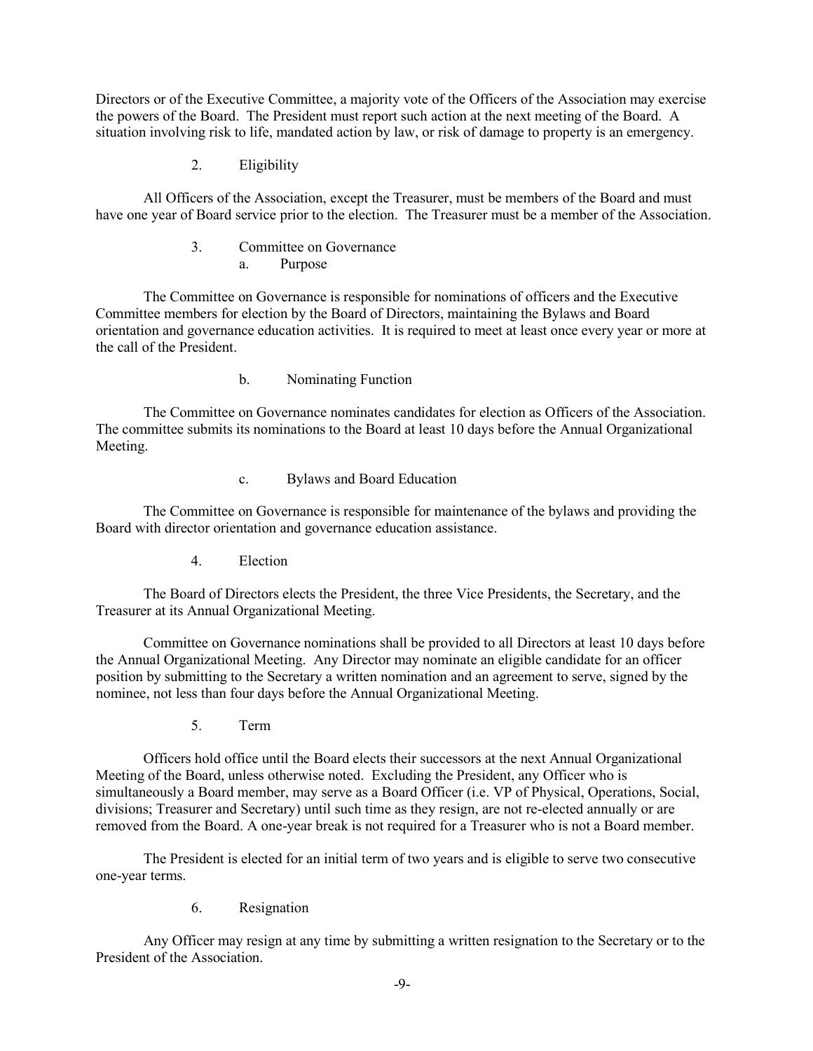Directors or of the Executive Committee, a majority vote of the Officers of the Association may exercise the powers of the Board. The President must report such action at the next meeting of the Board. A situation involving risk to life, mandated action by law, or risk of damage to property is an emergency.

2. Eligibility

All Officers of the Association, except the Treasurer, must be members of the Board and must have one year of Board service prior to the election. The Treasurer must be a member of the Association.

> 3. Committee on Governance a. Purpose

The Committee on Governance is responsible for nominations of officers and the Executive Committee members for election by the Board of Directors, maintaining the Bylaws and Board orientation and governance education activities. It is required to meet at least once every year or more at the call of the President.

b. Nominating Function

The Committee on Governance nominates candidates for election as Officers of the Association. The committee submits its nominations to the Board at least 10 days before the Annual Organizational Meeting.

c. Bylaws and Board Education

The Committee on Governance is responsible for maintenance of the bylaws and providing the Board with director orientation and governance education assistance.

4. Election

The Board of Directors elects the President, the three Vice Presidents, the Secretary, and the Treasurer at its Annual Organizational Meeting.

Committee on Governance nominations shall be provided to all Directors at least 10 days before the Annual Organizational Meeting. Any Director may nominate an eligible candidate for an officer position by submitting to the Secretary a written nomination and an agreement to serve, signed by the nominee, not less than four days before the Annual Organizational Meeting.

5. Term

Officers hold office until the Board elects their successors at the next Annual Organizational Meeting of the Board, unless otherwise noted. Excluding the President, any Officer who is simultaneously a Board member, may serve as a Board Officer (i.e. VP of Physical, Operations, Social, divisions; Treasurer and Secretary) until such time as they resign, are not re-elected annually or are removed from the Board. A one-year break is not required for a Treasurer who is not a Board member.

The President is elected for an initial term of two years and is eligible to serve two consecutive one-year terms.

6. Resignation

Any Officer may resign at any time by submitting a written resignation to the Secretary or to the President of the Association.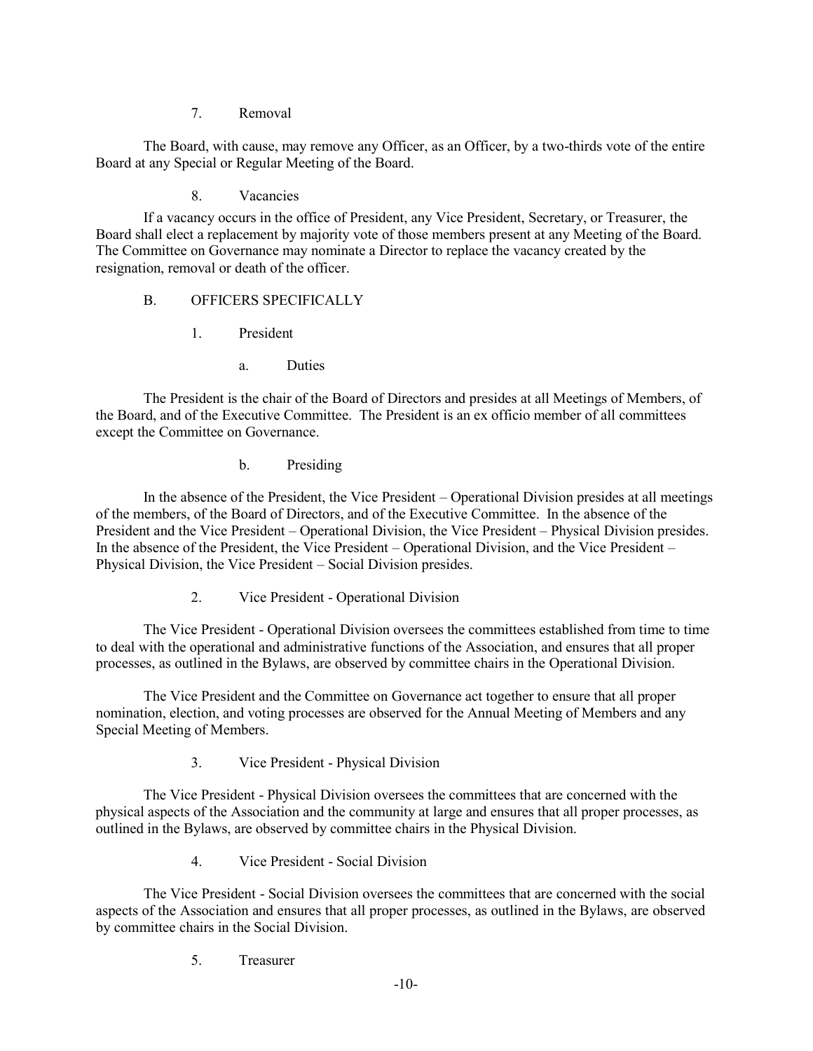### 7. Removal

The Board, with cause, may remove any Officer, as an Officer, by a two-thirds vote of the entire Board at any Special or Regular Meeting of the Board.

8. Vacancies

If a vacancy occurs in the office of President, any Vice President, Secretary, or Treasurer, the Board shall elect a replacement by majority vote of those members present at any Meeting of the Board. The Committee on Governance may nominate a Director to replace the vacancy created by the resignation, removal or death of the officer.

# B. OFFICERS SPECIFICALLY

- 1. President
	- a. Duties

The President is the chair of the Board of Directors and presides at all Meetings of Members, of the Board, and of the Executive Committee. The President is an ex officio member of all committees except the Committee on Governance.

b. Presiding

In the absence of the President, the Vice President – Operational Division presides at all meetings of the members, of the Board of Directors, and of the Executive Committee. In the absence of the President and the Vice President – Operational Division, the Vice President – Physical Division presides. In the absence of the President, the Vice President – Operational Division, and the Vice President – Physical Division, the Vice President – Social Division presides.

2. Vice President - Operational Division

The Vice President - Operational Division oversees the committees established from time to time to deal with the operational and administrative functions of the Association, and ensures that all proper processes, as outlined in the Bylaws, are observed by committee chairs in the Operational Division.

The Vice President and the Committee on Governance act together to ensure that all proper nomination, election, and voting processes are observed for the Annual Meeting of Members and any Special Meeting of Members.

3. Vice President - Physical Division

The Vice President - Physical Division oversees the committees that are concerned with the physical aspects of the Association and the community at large and ensures that all proper processes, as outlined in the Bylaws, are observed by committee chairs in the Physical Division.

4. Vice President - Social Division

The Vice President - Social Division oversees the committees that are concerned with the social aspects of the Association and ensures that all proper processes, as outlined in the Bylaws, are observed by committee chairs in the Social Division.

5. Treasurer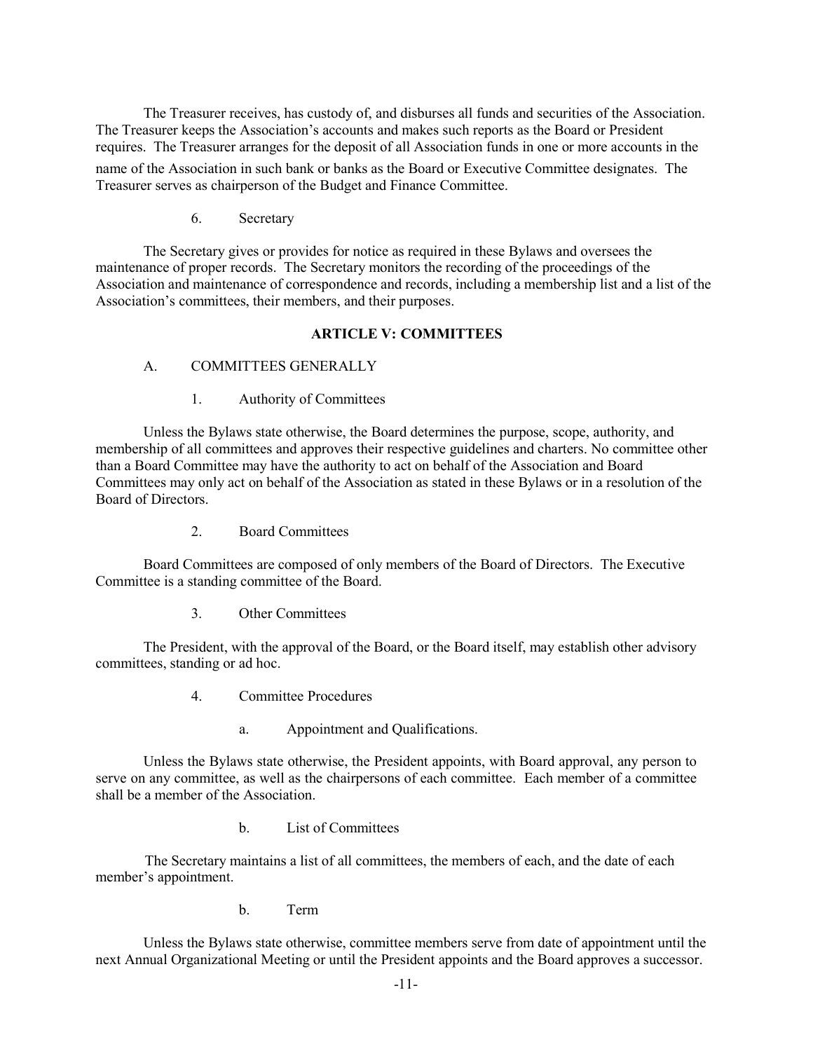The Treasurer receives, has custody of, and disburses all funds and securities of the Association. The Treasurer keeps the Association's accounts and makes such reports as the Board or President requires. The Treasurer arranges for the deposit of all Association funds in one or more accounts in the

name of the Association in such bank or banks as the Board or Executive Committee designates. The Treasurer serves as chairperson of the Budget and Finance Committee.

6. Secretary

The Secretary gives or provides for notice as required in these Bylaws and oversees the maintenance of proper records. The Secretary monitors the recording of the proceedings of the Association and maintenance of correspondence and records, including a membership list and a list of the Association's committees, their members, and their purposes.

#### **ARTICLE V: COMMITTEES**

#### A. COMMITTEES GENERALLY

1. Authority of Committees

Unless the Bylaws state otherwise, the Board determines the purpose, scope, authority, and membership of all committees and approves their respective guidelines and charters. No committee other than a Board Committee may have the authority to act on behalf of the Association and Board Committees may only act on behalf of the Association as stated in these Bylaws or in a resolution of the Board of Directors.

2. Board Committees

Board Committees are composed of only members of the Board of Directors. The Executive Committee is a standing committee of the Board.

3. Other Committees

The President, with the approval of the Board, or the Board itself, may establish other advisory committees, standing or ad hoc.

- 4. Committee Procedures
	- a. Appointment and Qualifications.

Unless the Bylaws state otherwise, the President appoints, with Board approval, any person to serve on any committee, as well as the chairpersons of each committee. Each member of a committee shall be a member of the Association.

b. List of Committees

The Secretary maintains a list of all committees, the members of each, and the date of each member's appointment.

b. Term

Unless the Bylaws state otherwise, committee members serve from date of appointment until the next Annual Organizational Meeting or until the President appoints and the Board approves a successor.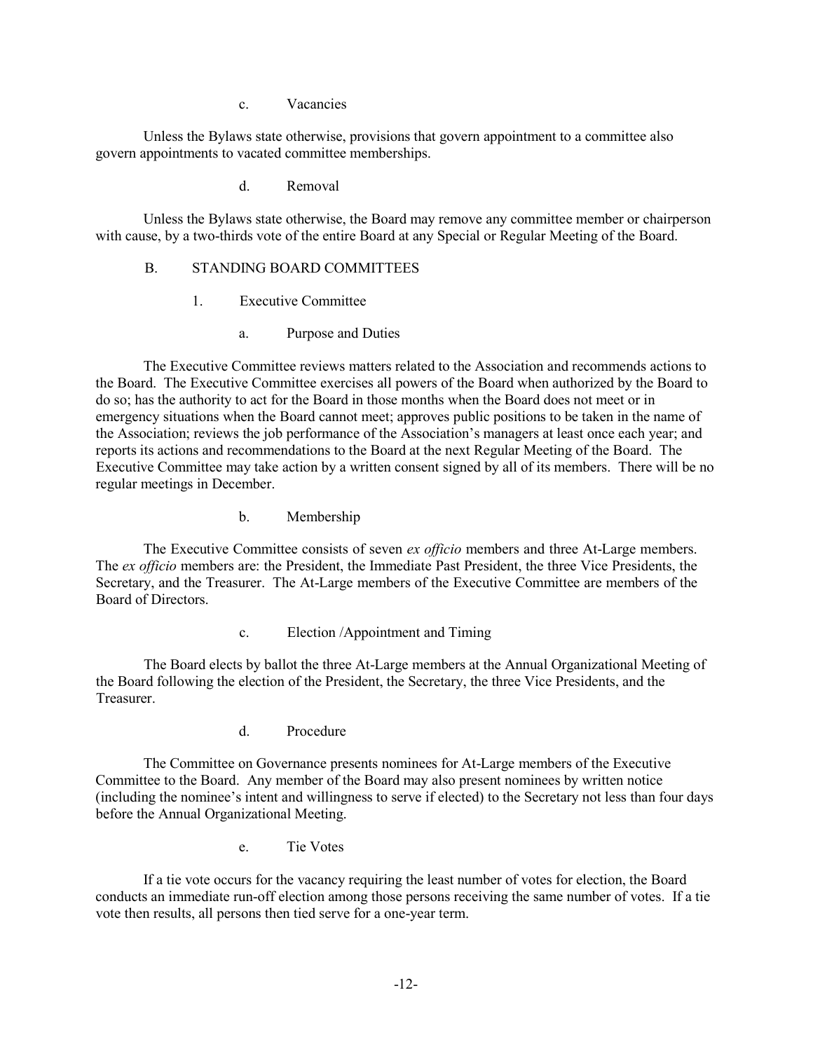c. Vacancies

Unless the Bylaws state otherwise, provisions that govern appointment to a committee also govern appointments to vacated committee memberships.

d. Removal

Unless the Bylaws state otherwise, the Board may remove any committee member or chairperson with cause, by a two-thirds vote of the entire Board at any Special or Regular Meeting of the Board.

# B. STANDING BOARD COMMITTEES

- 1. Executive Committee
	- a. Purpose and Duties

The Executive Committee reviews matters related to the Association and recommends actions to the Board. The Executive Committee exercises all powers of the Board when authorized by the Board to do so; has the authority to act for the Board in those months when the Board does not meet or in emergency situations when the Board cannot meet; approves public positions to be taken in the name of the Association; reviews the job performance of the Association's managers at least once each year; and reports its actions and recommendations to the Board at the next Regular Meeting of the Board. The Executive Committee may take action by a written consent signed by all of its members. There will be no regular meetings in December.

b. Membership

The Executive Committee consists of seven *ex officio* members and three At-Large members. The *ex officio* members are: the President, the Immediate Past President, the three Vice Presidents, the Secretary, and the Treasurer. The At-Large members of the Executive Committee are members of the Board of Directors.

c. Election /Appointment and Timing

The Board elects by ballot the three At-Large members at the Annual Organizational Meeting of the Board following the election of the President, the Secretary, the three Vice Presidents, and the Treasurer.

d. Procedure

The Committee on Governance presents nominees for At-Large members of the Executive Committee to the Board. Any member of the Board may also present nominees by written notice (including the nominee's intent and willingness to serve if elected) to the Secretary not less than four days before the Annual Organizational Meeting.

e. Tie Votes

If a tie vote occurs for the vacancy requiring the least number of votes for election, the Board conducts an immediate run-off election among those persons receiving the same number of votes. If a tie vote then results, all persons then tied serve for a one-year term.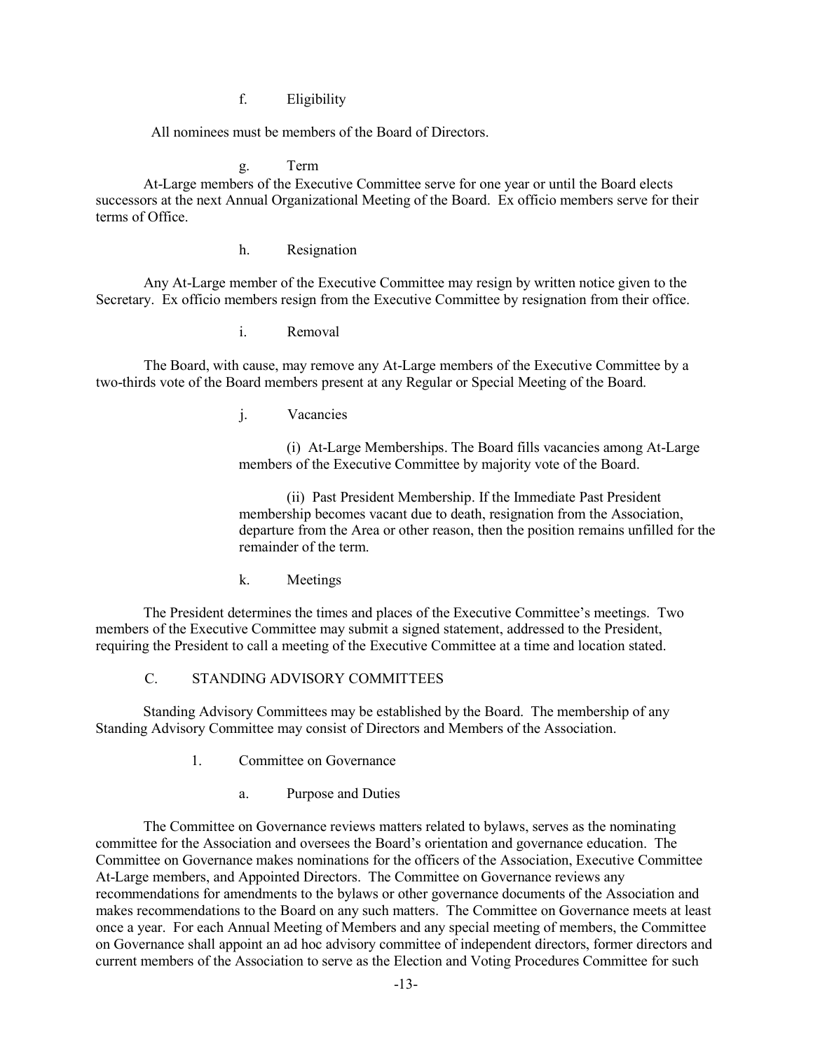f. Eligibility

All nominees must be members of the Board of Directors.

g. Term

At-Large members of the Executive Committee serve for one year or until the Board elects successors at the next Annual Organizational Meeting of the Board. Ex officio members serve for their terms of Office.

h. Resignation

Any At-Large member of the Executive Committee may resign by written notice given to the Secretary. Ex officio members resign from the Executive Committee by resignation from their office.

i. Removal

The Board, with cause, may remove any At-Large members of the Executive Committee by a two-thirds vote of the Board members present at any Regular or Special Meeting of the Board.

j. Vacancies

(i) At-Large Memberships. The Board fills vacancies among At-Large members of the Executive Committee by majority vote of the Board.

(ii) Past President Membership. If the Immediate Past President membership becomes vacant due to death, resignation from the Association, departure from the Area or other reason, then the position remains unfilled for the remainder of the term.

k. Meetings

The President determines the times and places of the Executive Committee's meetings. Two members of the Executive Committee may submit a signed statement, addressed to the President, requiring the President to call a meeting of the Executive Committee at a time and location stated.

# C. STANDING ADVISORY COMMITTEES

Standing Advisory Committees may be established by the Board. The membership of any Standing Advisory Committee may consist of Directors and Members of the Association.

- 1. Committee on Governance
	- a. Purpose and Duties

The Committee on Governance reviews matters related to bylaws, serves as the nominating committee for the Association and oversees the Board's orientation and governance education. The Committee on Governance makes nominations for the officers of the Association, Executive Committee At-Large members, and Appointed Directors. The Committee on Governance reviews any recommendations for amendments to the bylaws or other governance documents of the Association and makes recommendations to the Board on any such matters. The Committee on Governance meets at least once a year. For each Annual Meeting of Members and any special meeting of members, the Committee on Governance shall appoint an ad hoc advisory committee of independent directors, former directors and current members of the Association to serve as the Election and Voting Procedures Committee for such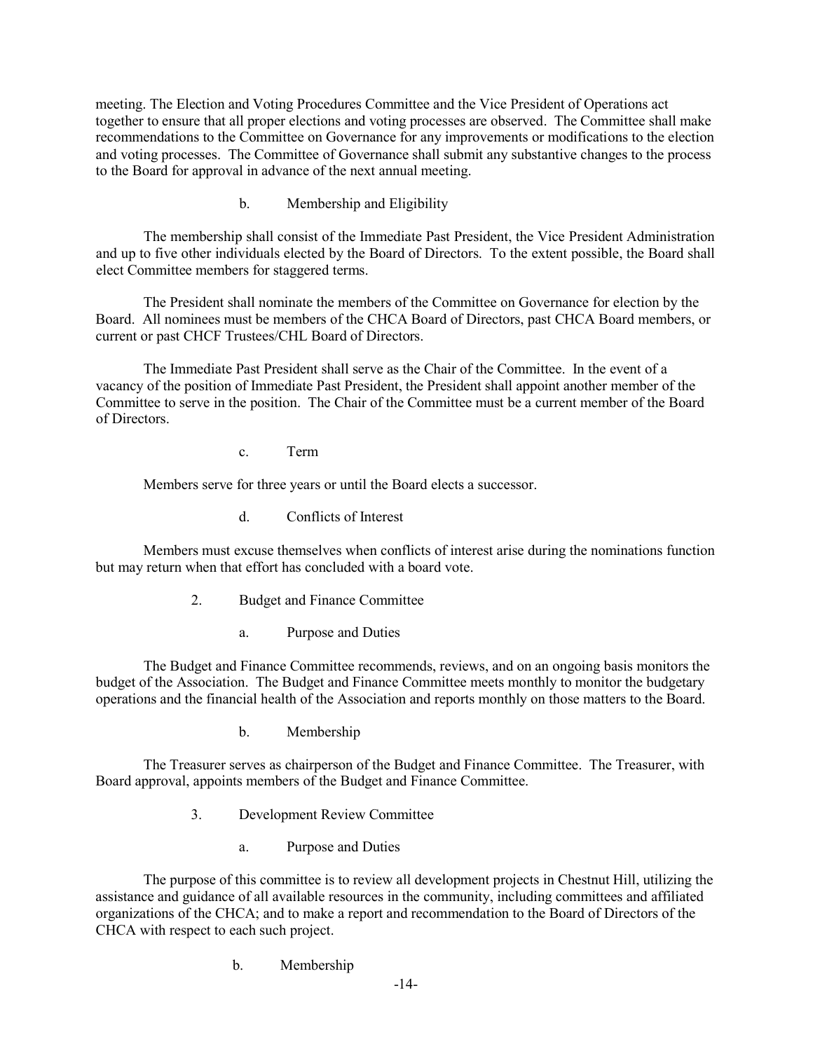meeting. The Election and Voting Procedures Committee and the Vice President of Operations act together to ensure that all proper elections and voting processes are observed. The Committee shall make recommendations to the Committee on Governance for any improvements or modifications to the election and voting processes. The Committee of Governance shall submit any substantive changes to the process to the Board for approval in advance of the next annual meeting.

b. Membership and Eligibility

The membership shall consist of the Immediate Past President, the Vice President Administration and up to five other individuals elected by the Board of Directors. To the extent possible, the Board shall elect Committee members for staggered terms.

The President shall nominate the members of the Committee on Governance for election by the Board. All nominees must be members of the CHCA Board of Directors, past CHCA Board members, or current or past CHCF Trustees/CHL Board of Directors.

The Immediate Past President shall serve as the Chair of the Committee. In the event of a vacancy of the position of Immediate Past President, the President shall appoint another member of the Committee to serve in the position. The Chair of the Committee must be a current member of the Board of Directors.

c. Term

Members serve for three years or until the Board elects a successor.

d. Conflicts of Interest

Members must excuse themselves when conflicts of interest arise during the nominations function but may return when that effort has concluded with a board vote.

- 2. Budget and Finance Committee
	- a. Purpose and Duties

The Budget and Finance Committee recommends, reviews, and on an ongoing basis monitors the budget of the Association. The Budget and Finance Committee meets monthly to monitor the budgetary operations and the financial health of the Association and reports monthly on those matters to the Board.

b. Membership

The Treasurer serves as chairperson of the Budget and Finance Committee. The Treasurer, with Board approval, appoints members of the Budget and Finance Committee.

- 3. Development Review Committee
	- a. Purpose and Duties

The purpose of this committee is to review all development projects in Chestnut Hill, utilizing the assistance and guidance of all available resources in the community, including committees and affiliated organizations of the CHCA; and to make a report and recommendation to the Board of Directors of the CHCA with respect to each such project.

b. Membership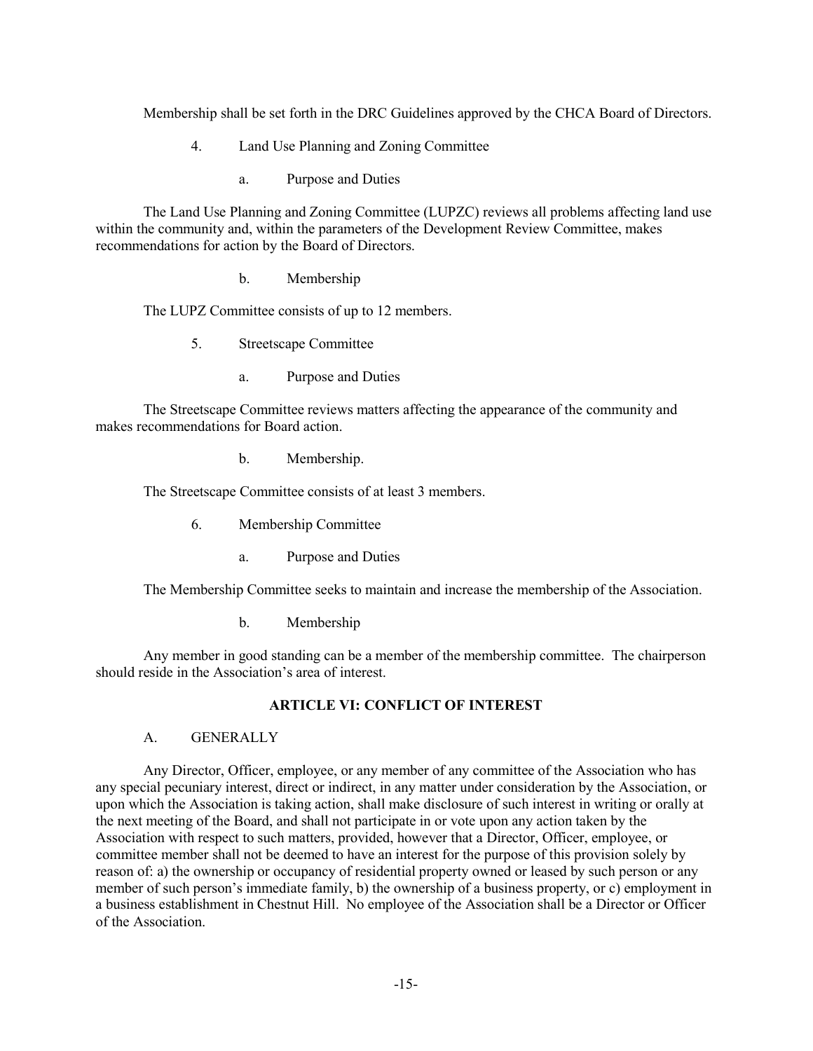Membership shall be set forth in the DRC Guidelines approved by the CHCA Board of Directors.

- 4. Land Use Planning and Zoning Committee
	- a. Purpose and Duties

The Land Use Planning and Zoning Committee (LUPZC) reviews all problems affecting land use within the community and, within the parameters of the Development Review Committee, makes recommendations for action by the Board of Directors.

b. Membership

The LUPZ Committee consists of up to 12 members.

5. Streetscape Committee

a. Purpose and Duties

The Streetscape Committee reviews matters affecting the appearance of the community and makes recommendations for Board action.

b. Membership.

The Streetscape Committee consists of at least 3 members.

- 6. Membership Committee
	- a. Purpose and Duties

The Membership Committee seeks to maintain and increase the membership of the Association.

b. Membership

Any member in good standing can be a member of the membership committee. The chairperson should reside in the Association's area of interest.

### **ARTICLE VI: CONFLICT OF INTEREST**

#### A. GENERALLY

Any Director, Officer, employee, or any member of any committee of the Association who has any special pecuniary interest, direct or indirect, in any matter under consideration by the Association, or upon which the Association is taking action, shall make disclosure of such interest in writing or orally at the next meeting of the Board, and shall not participate in or vote upon any action taken by the Association with respect to such matters, provided, however that a Director, Officer, employee, or committee member shall not be deemed to have an interest for the purpose of this provision solely by reason of: a) the ownership or occupancy of residential property owned or leased by such person or any member of such person's immediate family, b) the ownership of a business property, or c) employment in a business establishment in Chestnut Hill. No employee of the Association shall be a Director or Officer of the Association.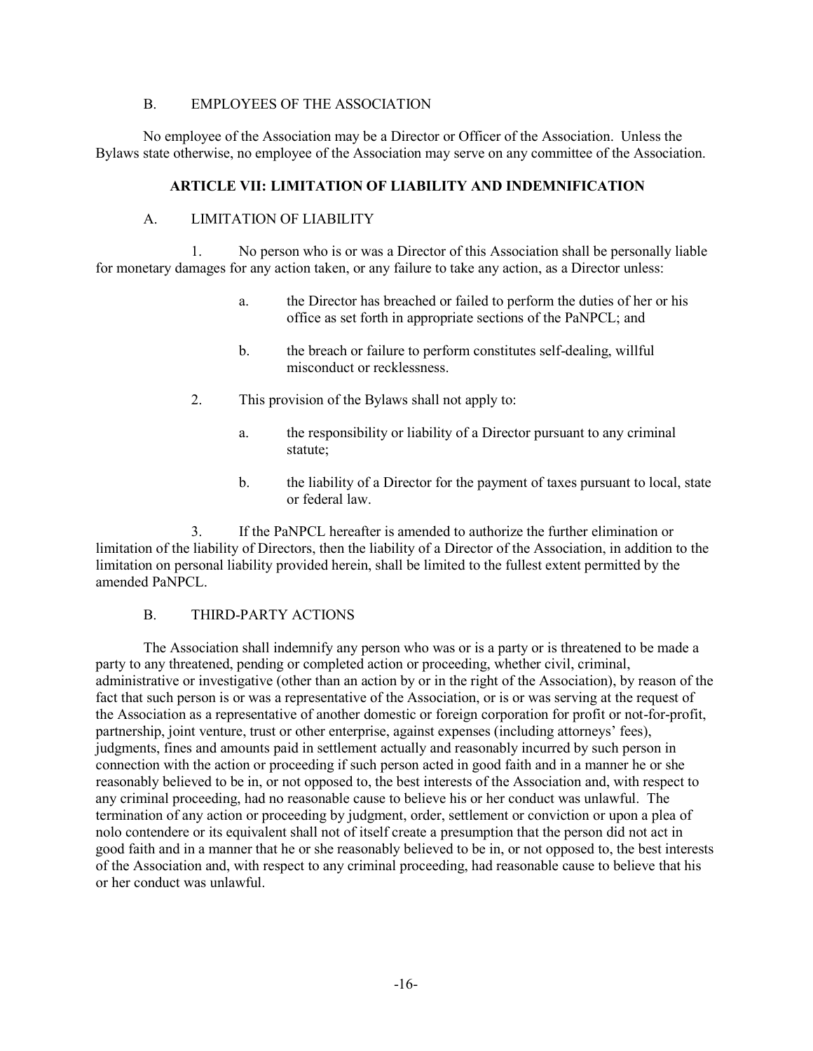#### B. EMPLOYEES OF THE ASSOCIATION

No employee of the Association may be a Director or Officer of the Association. Unless the Bylaws state otherwise, no employee of the Association may serve on any committee of the Association.

### **ARTICLE VII: LIMITATION OF LIABILITY AND INDEMNIFICATION**

### A. LIMITATION OF LIABILITY

1. No person who is or was a Director of this Association shall be personally liable for monetary damages for any action taken, or any failure to take any action, as a Director unless:

- a. the Director has breached or failed to perform the duties of her or his office as set forth in appropriate sections of the PaNPCL; and
- b. the breach or failure to perform constitutes self-dealing, willful misconduct or recklessness.
- 2. This provision of the Bylaws shall not apply to:
	- a. the responsibility or liability of a Director pursuant to any criminal statute;
	- b. the liability of a Director for the payment of taxes pursuant to local, state or federal law.

3. If the PaNPCL hereafter is amended to authorize the further elimination or limitation of the liability of Directors, then the liability of a Director of the Association, in addition to the limitation on personal liability provided herein, shall be limited to the fullest extent permitted by the amended PaNPCL.

### B. THIRD-PARTY ACTIONS

The Association shall indemnify any person who was or is a party or is threatened to be made a party to any threatened, pending or completed action or proceeding, whether civil, criminal, administrative or investigative (other than an action by or in the right of the Association), by reason of the fact that such person is or was a representative of the Association, or is or was serving at the request of the Association as a representative of another domestic or foreign corporation for profit or not-for-profit, partnership, joint venture, trust or other enterprise, against expenses (including attorneys' fees), judgments, fines and amounts paid in settlement actually and reasonably incurred by such person in connection with the action or proceeding if such person acted in good faith and in a manner he or she reasonably believed to be in, or not opposed to, the best interests of the Association and, with respect to any criminal proceeding, had no reasonable cause to believe his or her conduct was unlawful. The termination of any action or proceeding by judgment, order, settlement or conviction or upon a plea of nolo contendere or its equivalent shall not of itself create a presumption that the person did not act in good faith and in a manner that he or she reasonably believed to be in, or not opposed to, the best interests of the Association and, with respect to any criminal proceeding, had reasonable cause to believe that his or her conduct was unlawful.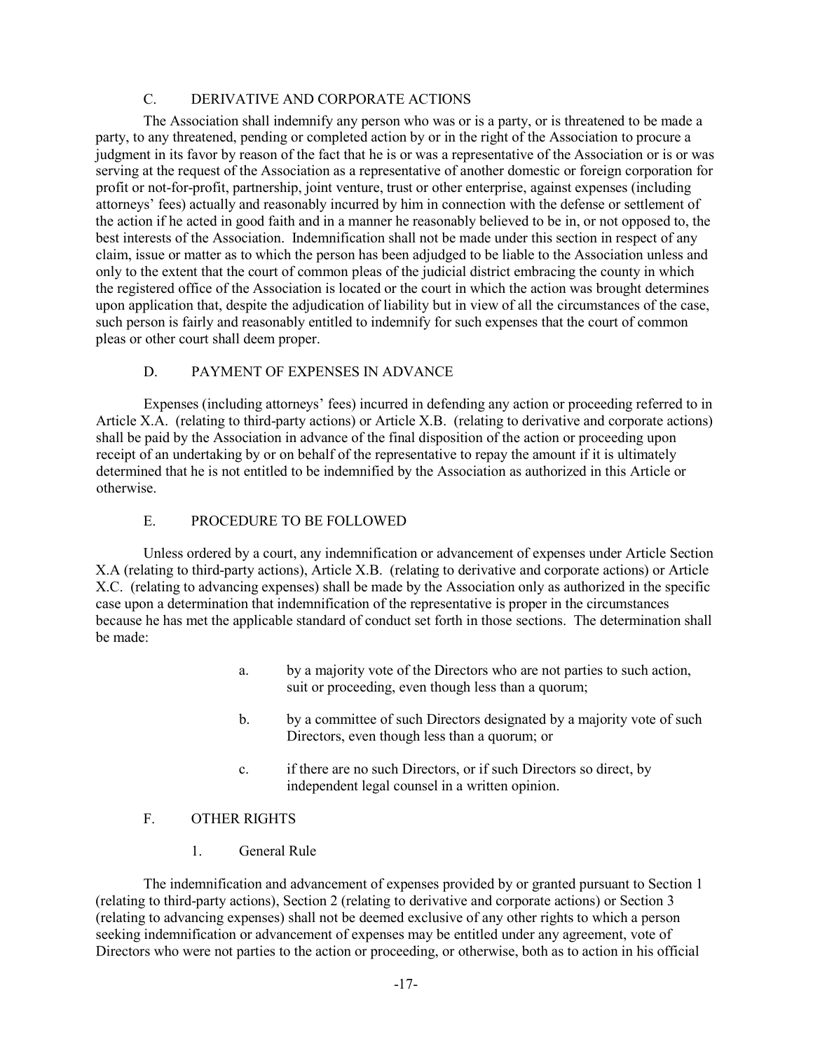# C. DERIVATIVE AND CORPORATE ACTIONS

The Association shall indemnify any person who was or is a party, or is threatened to be made a party, to any threatened, pending or completed action by or in the right of the Association to procure a judgment in its favor by reason of the fact that he is or was a representative of the Association or is or was serving at the request of the Association as a representative of another domestic or foreign corporation for profit or not-for-profit, partnership, joint venture, trust or other enterprise, against expenses (including attorneys' fees) actually and reasonably incurred by him in connection with the defense or settlement of the action if he acted in good faith and in a manner he reasonably believed to be in, or not opposed to, the best interests of the Association. Indemnification shall not be made under this section in respect of any claim, issue or matter as to which the person has been adjudged to be liable to the Association unless and only to the extent that the court of common pleas of the judicial district embracing the county in which the registered office of the Association is located or the court in which the action was brought determines upon application that, despite the adjudication of liability but in view of all the circumstances of the case, such person is fairly and reasonably entitled to indemnify for such expenses that the court of common pleas or other court shall deem proper.

### D. PAYMENT OF EXPENSES IN ADVANCE

Expenses (including attorneys' fees) incurred in defending any action or proceeding referred to in Article X.A. (relating to third-party actions) or Article X.B. (relating to derivative and corporate actions) shall be paid by the Association in advance of the final disposition of the action or proceeding upon receipt of an undertaking by or on behalf of the representative to repay the amount if it is ultimately determined that he is not entitled to be indemnified by the Association as authorized in this Article or otherwise.

### E. PROCEDURE TO BE FOLLOWED

Unless ordered by a court, any indemnification or advancement of expenses under Article Section X.A (relating to third-party actions), Article X.B. (relating to derivative and corporate actions) or Article X.C. (relating to advancing expenses) shall be made by the Association only as authorized in the specific case upon a determination that indemnification of the representative is proper in the circumstances because he has met the applicable standard of conduct set forth in those sections. The determination shall be made:

- a. by a majority vote of the Directors who are not parties to such action, suit or proceeding, even though less than a quorum;
- b. by a committee of such Directors designated by a majority vote of such Directors, even though less than a quorum; or
- c. if there are no such Directors, or if such Directors so direct, by independent legal counsel in a written opinion.

# F. OTHER RIGHTS

1. General Rule

The indemnification and advancement of expenses provided by or granted pursuant to Section 1 (relating to third-party actions), Section 2 (relating to derivative and corporate actions) or Section 3 (relating to advancing expenses) shall not be deemed exclusive of any other rights to which a person seeking indemnification or advancement of expenses may be entitled under any agreement, vote of Directors who were not parties to the action or proceeding, or otherwise, both as to action in his official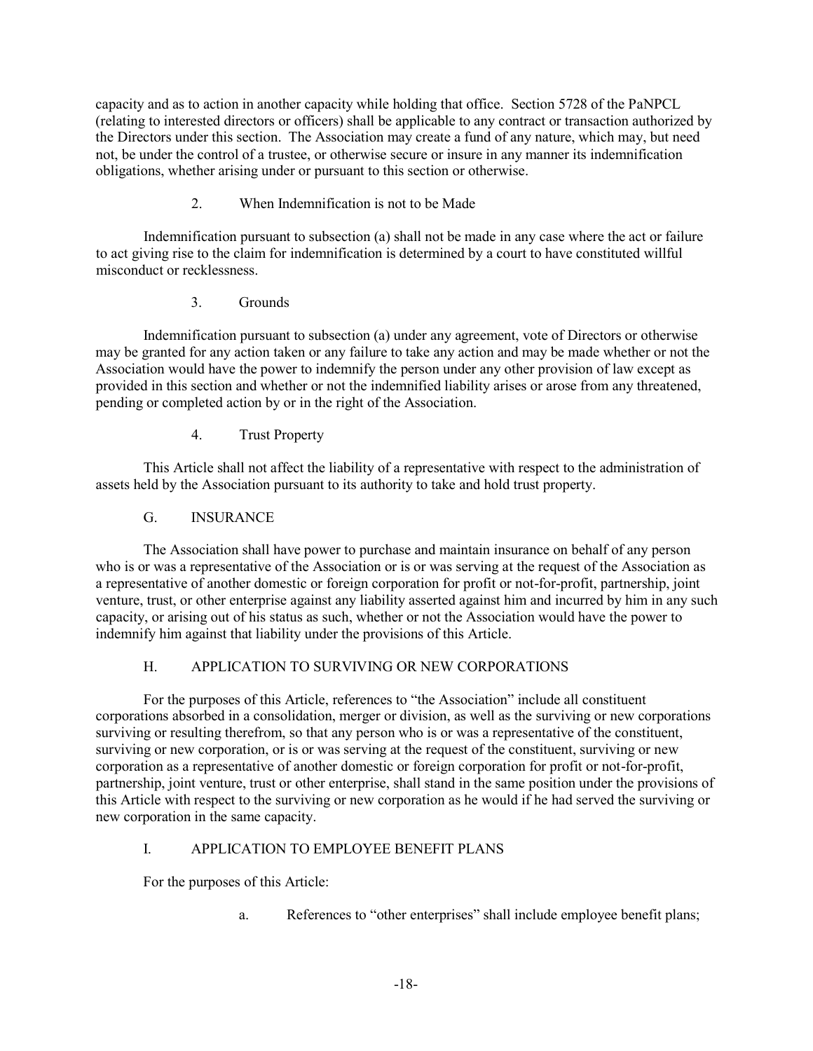capacity and as to action in another capacity while holding that office. Section 5728 of the PaNPCL (relating to interested directors or officers) shall be applicable to any contract or transaction authorized by the Directors under this section. The Association may create a fund of any nature, which may, but need not, be under the control of a trustee, or otherwise secure or insure in any manner its indemnification obligations, whether arising under or pursuant to this section or otherwise.

# 2. When Indemnification is not to be Made

Indemnification pursuant to subsection (a) shall not be made in any case where the act or failure to act giving rise to the claim for indemnification is determined by a court to have constituted willful misconduct or recklessness.

### 3. Grounds

Indemnification pursuant to subsection (a) under any agreement, vote of Directors or otherwise may be granted for any action taken or any failure to take any action and may be made whether or not the Association would have the power to indemnify the person under any other provision of law except as provided in this section and whether or not the indemnified liability arises or arose from any threatened, pending or completed action by or in the right of the Association.

### 4. Trust Property

This Article shall not affect the liability of a representative with respect to the administration of assets held by the Association pursuant to its authority to take and hold trust property.

### G. INSURANCE

The Association shall have power to purchase and maintain insurance on behalf of any person who is or was a representative of the Association or is or was serving at the request of the Association as a representative of another domestic or foreign corporation for profit or not-for-profit, partnership, joint venture, trust, or other enterprise against any liability asserted against him and incurred by him in any such capacity, or arising out of his status as such, whether or not the Association would have the power to indemnify him against that liability under the provisions of this Article.

# H. APPLICATION TO SURVIVING OR NEW CORPORATIONS

For the purposes of this Article, references to "the Association" include all constituent corporations absorbed in a consolidation, merger or division, as well as the surviving or new corporations surviving or resulting therefrom, so that any person who is or was a representative of the constituent, surviving or new corporation, or is or was serving at the request of the constituent, surviving or new corporation as a representative of another domestic or foreign corporation for profit or not-for-profit, partnership, joint venture, trust or other enterprise, shall stand in the same position under the provisions of this Article with respect to the surviving or new corporation as he would if he had served the surviving or new corporation in the same capacity.

# I. APPLICATION TO EMPLOYEE BENEFIT PLANS

For the purposes of this Article:

a. References to "other enterprises" shall include employee benefit plans;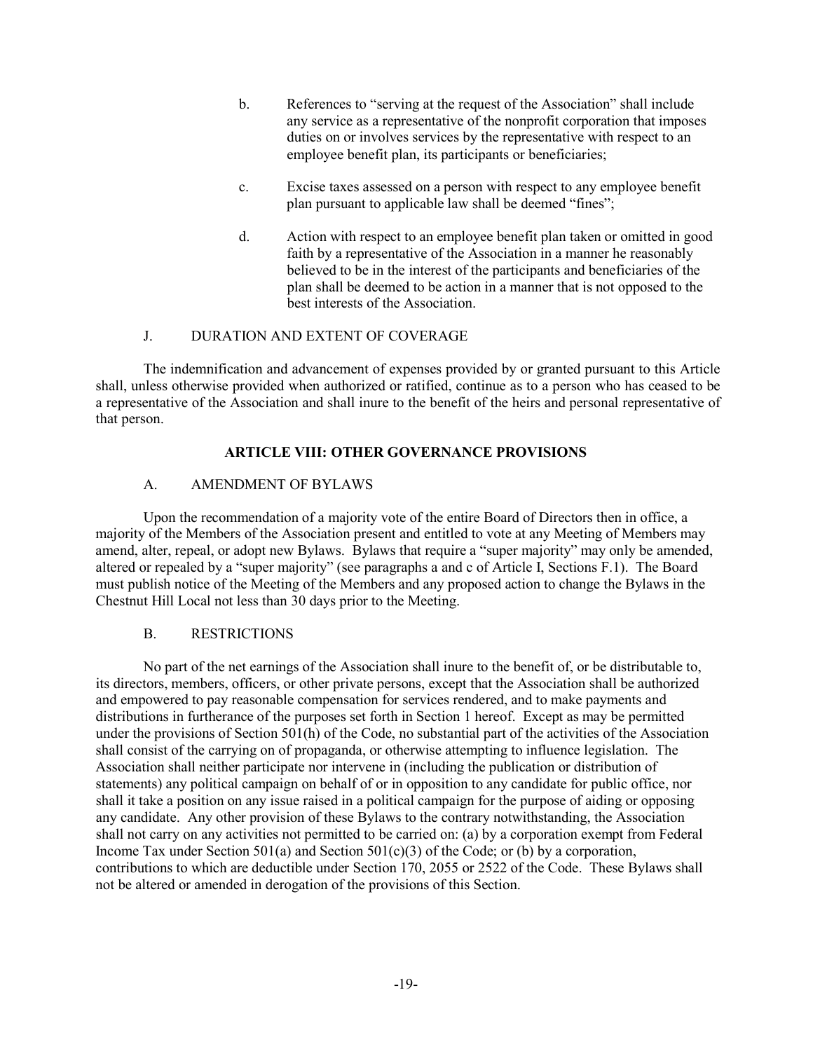- b. References to "serving at the request of the Association" shall include any service as a representative of the nonprofit corporation that imposes duties on or involves services by the representative with respect to an employee benefit plan, its participants or beneficiaries;
- c. Excise taxes assessed on a person with respect to any employee benefit plan pursuant to applicable law shall be deemed "fines";
- d. Action with respect to an employee benefit plan taken or omitted in good faith by a representative of the Association in a manner he reasonably believed to be in the interest of the participants and beneficiaries of the plan shall be deemed to be action in a manner that is not opposed to the best interests of the Association.

#### J. DURATION AND EXTENT OF COVERAGE

The indemnification and advancement of expenses provided by or granted pursuant to this Article shall, unless otherwise provided when authorized or ratified, continue as to a person who has ceased to be a representative of the Association and shall inure to the benefit of the heirs and personal representative of that person.

### **ARTICLE VIII: OTHER GOVERNANCE PROVISIONS**

### A. AMENDMENT OF BYLAWS

Upon the recommendation of a majority vote of the entire Board of Directors then in office, a majority of the Members of the Association present and entitled to vote at any Meeting of Members may amend, alter, repeal, or adopt new Bylaws. Bylaws that require a "super majority" may only be amended, altered or repealed by a "super majority" (see paragraphs a and c of Article I, Sections F.1). The Board must publish notice of the Meeting of the Members and any proposed action to change the Bylaws in the Chestnut Hill Local not less than 30 days prior to the Meeting.

### B. RESTRICTIONS

No part of the net earnings of the Association shall inure to the benefit of, or be distributable to, its directors, members, officers, or other private persons, except that the Association shall be authorized and empowered to pay reasonable compensation for services rendered, and to make payments and distributions in furtherance of the purposes set forth in Section 1 hereof. Except as may be permitted under the provisions of Section 501(h) of the Code, no substantial part of the activities of the Association shall consist of the carrying on of propaganda, or otherwise attempting to influence legislation. The Association shall neither participate nor intervene in (including the publication or distribution of statements) any political campaign on behalf of or in opposition to any candidate for public office, nor shall it take a position on any issue raised in a political campaign for the purpose of aiding or opposing any candidate. Any other provision of these Bylaws to the contrary notwithstanding, the Association shall not carry on any activities not permitted to be carried on: (a) by a corporation exempt from Federal Income Tax under Section 501(a) and Section 501(c)(3) of the Code; or (b) by a corporation, contributions to which are deductible under Section 170, 2055 or 2522 of the Code. These Bylaws shall not be altered or amended in derogation of the provisions of this Section.